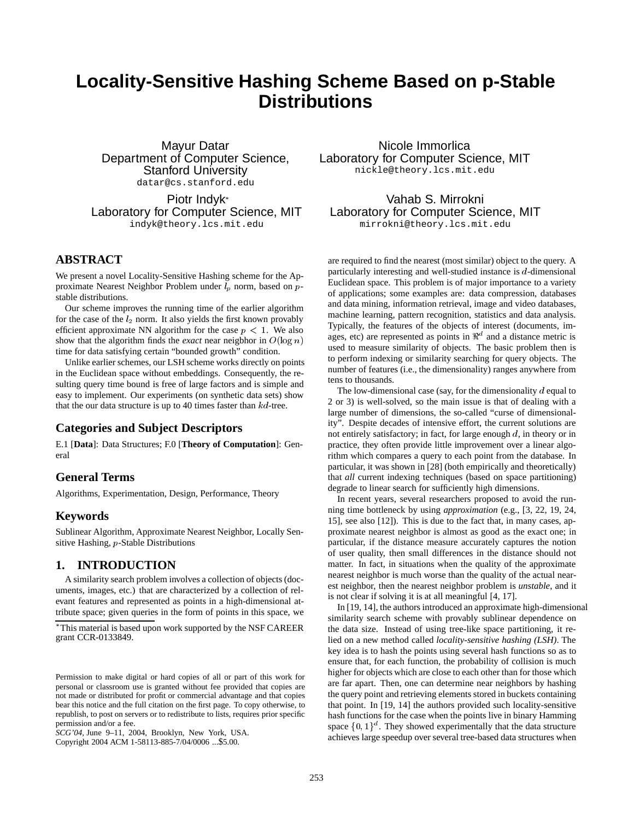# **Locality-Sensitive Hashing Scheme Based on p-Stable Distributions**

Mayur Datar Department of Computer Science, Stanford University datar@cs.stanford.edu

Piotr Indyk Laboratory for Computer Science, MIT indyk@theory.lcs.mit.edu

#### **ABSTRACT**

We present a novel Locality-Sensitive Hashing scheme for the Approximate Nearest Neighbor Problem under  $l_p$  norm, based on  $p$ stable distributions.

Our scheme improves the running time of the earlier algorithm for the case of the  $l_2$  norm. It also yields the first known provably efficient approximate NN algorithm for the case  $p < 1$ . We also show that the algorithm finds the *exact* near neigbhor in O(log n) time for data satisfying certain "bounded growth" condition.

Unlike earlier schemes, our LSH scheme works directly on points in the Euclidean space without embeddings. Consequently, the resulting query time bound is free of large factors and is simple and easy to implement. Our experiments (on synthetic data sets) show that the our data structure is up to 40 times faster than  $kd$ -tree.

### **Categories and Subject Descriptors**

E.1 [**Data**]: Data Structures; F.0 [**Theory of Computation**]: General

### **General Terms**

Algorithms, Experimentation, Design, Performance, Theory

#### **Keywords**

Sublinear Algorithm, Approximate Nearest Neighbor, Locally Sensitive Hashing, <sup>p</sup>-Stable Distributions

### **1. INTRODUCTION**

A similarity search problem involves a collection of objects (documents, images, etc.) that are characterized by a collection of relevant features and represented as points in a high-dimensional attribute space; given queries in the form of points in this space, we

Copyright 2004 ACM 1-58113-885-7/04/0006 ...\$5.00.

Nicole Immorlica Laboratory for Computer Science, MIT nickle@theory.lcs.mit.edu

Vahab S. Mirrokni Laboratory for Computer Science, MIT mirrokni@theory.lcs.mit.edu

are required to find the nearest (most similar) object to the query. A particularly interesting and well-studied instance is <sup>d</sup>-dimensional Euclidean space. This problem is of major importance to a variety of applications; some examples are: data compression, databases and data mining, information retrieval, image and video databases, machine learning, pattern recognition, statistics and data analysis. Typically, the features of the objects of interest (documents, images, etc) are represented as points in  $\mathbb{R}^d$  and a distance metric is used to measure similarity of objects. The basic problem then is to perform indexing or similarity searching for query objects. The number of features (i.e., the dimensionality) ranges anywhere from tens to thousands.

The low-dimensional case (say, for the dimensionality  $d$  equal to 2 or 3) is well-solved, so the main issue is that of dealing with a large number of dimensions, the so-called "curse of dimensionality". Despite decades of intensive effort, the current solutions are not entirely satisfactory; in fact, for large enough <sup>d</sup>, in theory or in practice, they often provide little improvement over a linear algorithm which compares a query to each point from the database. In particular, it was shown in [28] (both empirically and theoretically) that *all* current indexing techniques (based on space partitioning) degrade to linear search for sufficiently high dimensions.

In recent years, several researchers proposed to avoid the running time bottleneck by using *approximation* (e.g., [3, 22, 19, 24, 15], see also [12]). This is due to the fact that, in many cases, approximate nearest neighbor is almost as good as the exact one; in particular, if the distance measure accurately captures the notion of user quality, then small differences in the distance should not matter. In fact, in situations when the quality of the approximate nearest neighbor is much worse than the quality of the actual nearest neighbor, then the nearest neighbor problem is *unstable*, and it is not clear if solving it is at all meaningful [4, 17].

In [19, 14], the authors introduced an approximate high-dimensional similarity search scheme with provably sublinear dependence on the data size. Instead of using tree-like space partitioning, it relied on a new method called *locality-sensitive hashing (LSH)*. The key idea is to hash the points using several hash functions so as to ensure that, for each function, the probability of collision is much higher for objects which are close to each other than for those which are far apart. Then, one can determine near neighbors by hashing the query point and retrieving elements stored in buckets containing that point. In [19, 14] the authors provided such locality-sensitive hash functions for the case when the points live in binary Hamming space  $\{0, 1\}^d$ . They showed experimentally that the data structure achieves large speedup over several tree-based data structures when

This material is based upon work supported by the NSF CAREER grant CCR-0133849.

Permission to make digital or hard copies of all or part of this work for personal or classroom use is granted without fee provided that copies are not made or distributed for profit or commercial advantage and that copies bear this notice and the full citation on the first page. To copy otherwise, to republish, to post on servers or to redistribute to lists, requires prior specific permission and/or a fee.

*SCG'04,* June 9–11, 2004, Brooklyn, New York, USA.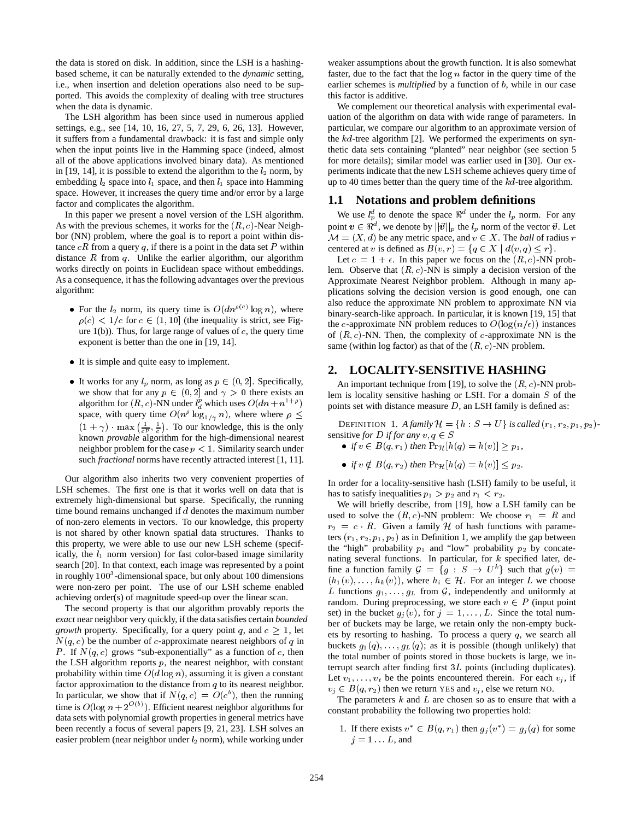the data is stored on disk. In addition, since the LSH is a hashingbased scheme, it can be naturally extended to the *dynamic* setting, i.e., when insertion and deletion operations also need to be supported. This avoids the complexity of dealing with tree structures when the data is dynamic.

The LSH algorithm has been since used in numerous applied settings, e.g., see [14, 10, 16, 27, 5, 7, 29, 6, 26, 13]. However, it suffers from a fundamental drawback: it is fast and simple only when the input points live in the Hamming space (indeed, almost all of the above applications involved binary data). As mentioned in [19, 14], it is possible to extend the algorithm to the  $l_2$  norm, by embedding  $l_2$  space into  $l_1$  space, and then  $l_1$  space into Hamming space. However, it increases the query time and/or error by a large factor and complicates the algorithm.

In this paper we present a novel version of the LSH algorithm. As with the previous schemes, it works for the  $(R, c)$ -Near Neighbor (NN) problem, where the goal is to report a point within distance  $cR$  from a query q, if there is a point in the data set P within distance  $R$  from  $q$ . Unlike the earlier algorithm, our algorithm works directly on points in Euclidean space without embeddings. As a consequence, it has the following advantages over the previous algorithm:

- For the  $l_2$  norm, its query time is  $O(dn^{\rho(c)} \log n)$ , where  $\rho(c) < 1/c$  for  $c \in (1, 10]$  (the inequality is strict, see Figure  $1(b)$ ). Thus, for large range of values of c, the query time exponent is better than the one in [19, 14].
- It is simple and quite easy to implement.
- It works for any  $l_p$  norm, as long as  $p \in (0, 2]$ . Specifically, we show that for any  $p \in (0, 2]$  and  $\gamma > 0$  there exists an algorithm for  $(R, c)$ -NN under  $l_d^p$  which uses  $O(dn + n^{1+\rho})$ space, with query time  $O(n^{\rho} \log_{1/\gamma} n)$ , where where  $\rho \leq$  $(1 + \gamma) \cdot \max\left(\frac{1}{c^p}, \frac{1}{c}\right)$ . To our knowledge, this is the only known *provable* algorithm for the high-dimensional nearest neighbor problem for the case  $p < 1$ . Similarity search under such *fractional* norms have recently attracted interest [1, 11].

Our algorithm also inherits two very convenient properties of LSH schemes. The first one is that it works well on data that is extremely high-dimensional but sparse. Specifically, the running time bound remains unchanged if  $d$  denotes the maximum number of non-zero elements in vectors. To our knowledge, this property is not shared by other known spatial data structures. Thanks to this property, we were able to use our new LSH scheme (specifically, the  $l_1$  norm version) for fast color-based image similarity search [20]. In that context, each image was represented by a point in roughly 100<sup>3</sup>-dimensional space, but only about 100 dimensions were non-zero per point. The use of our LSH scheme enabled achieving order(s) of magnitude speed-up over the linear scan.

The second property is that our algorithm provably reports the *exact* near neighbor very quickly, if the data satisfies certain *bounded growth* property. Specifically, for a query point q, and  $c \geq 1$ , let  $N(q, c)$  be the number of c-approximate nearest neighbors of q in P. If  $N(q, c)$  grows "sub-exponentially" as a function of c, then the LSH algorithm reports  $p$ , the nearest neighbor, with constant probability within time  $O(d \log n)$ , assuming it is given a constant factor approximation to the distance from  $q$  to its nearest neighbor. In particular, we show that if  $N(q, c) = O(c^{b})$ , then the running time is  $O(\log n + 2^{O(b)})$ . Efficient nearest neighbor algorithms for data sets with polynomial growth properties in general metrics have been recently a focus of several papers [9, 21, 23]. LSH solves an easier problem (near neighbor under  $l_2$  norm), while working under

weaker assumptions about the growth function. It is also somewhat faster, due to the fact that the  $log n$  factor in the query time of the earlier schemes is *multiplied* by a function of b, while in our case this factor is additive.

We complement our theoretical analysis with experimental evaluation of the algorithm on data with wide range of parameters. In particular, we compare our algorithm to an approximate version of the  $kd$ -tree algorithm [2]. We performed the experiments on synthetic data sets containing "planted" near neighbor (see section 5 for more details); similar model was earlier used in [30]. Our experiments indicate that the new LSH scheme achieves query time of up to 40 times better than the query time of the kd-tree algorithm.

#### **1.1 Notations and problem definitions**

We use  $l_p^d$  to denote the space  $\mathbb{R}^d$  under the  $l_p$  norm. For any We use  $l_p^d$  to denote the space  $\Re^d$  under the  $l_p$  norm. For any point  $v \in \Re^d$ , we denote by  $||\vec{v}||_p$  the  $l_p$  norm of the vector  $\vec{v}$ . Let  $\mathcal{M} = (X, d)$  be any metric space, and  $v \in X$ . The *ball* of radius r centered at v is defined as  $B(v, r) = \{q \in X \mid d(v, q) \leq r\}.$ 

Let  $c = 1 + \epsilon$ . In this paper we focus on the  $(R, c)$ -NN problem. Observe that  $(R, c)$ -NN is simply a decision version of the Approximate Nearest Neighbor problem. Although in many applications solving the decision version is good enough, one can also reduce the approximate NN problem to approximate NN via binary-search-like approach. In particular, it is known [19, 15] that the *c*-approximate NN problem reduces to  $O(\log(n/\epsilon))$  instances of  $(R, c)$ -NN. Then, the complexity of c-approximate NN is the same (within log factor) as that of the  $(R, c)$ -NN problem.

### **2. LOCALITY-SENSITIVE HASHING**

points set with distance measure  $D$ , an LSH family is defined as: An important technique from [19], to solve the  $(R, c)$ -NN problem is locality sensitive hashing or LSH. For a domain S of the

DEFINITION 1. *A family*  $\mathcal{H} = \{h : S \to U\}$  *is called*  $(r_1, r_2, p_1, p_2)$ sensitive *for* D *if for any*  $v, q \in S$ 

- *if*  $v \in B(q, r_1)$  *then*  $Pr_{\mathcal{H}}[h(q) = h(v)] \geq p_1$ *,*
- *if*  $v \notin B(q, r_2)$  *then*  $Pr_{\mathcal{H}}[h(q) = h(v)] \leq p_2$ *.*

In order for a locality-sensitive hash (LSH) family to be useful, it has to satisfy inequalities  $p_1 > p_2$  and  $r_1 < r_2$ .

We will briefly describe, from [19], how a LSH family can be used to solve the  $(R, c)$ -NN problem: We choose  $r_1 = R$  and  $r_2 = c \ R$ . Given a family H of hash functions with parameters  $(r_1, r_2, p_1, p_2)$  as in Definition 1, we amplify the gap between the "high" probability  $p_1$  and "low" probability  $p_2$  by concatenating several functions. In particular, for  $k$  specified later, define a function family  $G = \{g : S \to U^k\}$  such that  $g(v) = (h_1(v), \ldots, h_k(v))$ , where  $h_i \in \mathcal{H}$ . For an integer L we choose  $(h_1(v), \ldots, h_k(v))$ , where  $h_i \in \mathcal{H}$ . For an integer L we choose L functions  $g_1, \ldots, g_L$  from  $\mathcal G$ , independently and uniformly at random. During preprocessing, we store each  $v \in P$  (input point set) in the bucket  $g_j(v)$ , for  $j = 1, \ldots, L$ . Since the total number of buckets may be large, we retain only the non-empty buckets by resorting to hashing. To process a query  $q$ , we search all buckets  $q_1(q), \ldots, q_L(q)$ ; as it is possible (though unlikely) that the total number of points stored in those buckets is large, we interrupt search after finding first 3L points (including duplicates). Let  $v_1, \ldots, v_t$  be the points encountered therein. For each  $v_i$ , if  $v_i \in B(q, r_2)$  then we return YES and  $v_i$ , else we return NO.

The parameters  $k$  and  $L$  are chosen so as to ensure that with a constant probability the following two properties hold:

1. If there exists  $v^* \in B(q, r_1)$  then  $g_i(v^*) = g_i(q)$  for some  $j = 1 \t L$ , and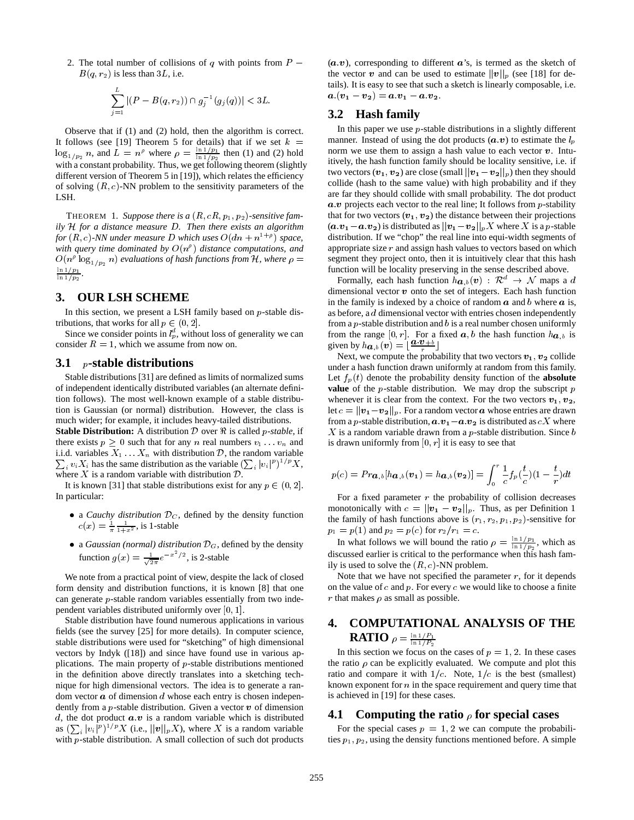2. The total number of collisions of q with points from  $P B(q, r_2)$  is less than 3L, i.e.

$$
\sum_{j=1}^{L} |(P - B(q, r_2)) \cap g_j^{-1}(g_j(q))| < 3L.
$$

Observe that if (1) and (2) hold, then the algorithm is correct. It follows (see [19] Theorem 5 for details) that if we set  $k =$  $\log_{1/p_2} n$ , and  $L = n^{\rho}$  where  $\rho = \frac{\ln 1/p_1}{\ln 1/p_2}$  then (1) and (2) hold with a constant probability. Thus, we get following theorem (slightly different version of Theorem 5 in [19]), which relates the efficiency of solving  $(R, c)$ -NN problem to the sensitivity parameters of the LSH.

THEOREM 1. Suppose there is a  $(R, cR, p_1, p_2)$ -sensitive fam*ily* <sup>H</sup> *for a distance measure* D*. Then there exists an algorithm for*  $(R, c)$ -NN under measure D which uses  $O(dn + n^{1+\rho})$  space, *with query time dominated by* O(n ) *distance computations, and*  $O(n^{\rho} \log_{1/p_2} n)$  *evaluations of hash functions from* H, where  $\rho =$  segment  $\frac{\ln 1/p_1}{\ln 1/p_2}$ . *.*

# **3. OUR LSH SCHEME**

In this section, we present a LSH family based on  $p$ -stable distributions, that works for all  $p \in (0, 2]$ .

Since we consider points in  $l_p^d$ , without loss of generality we can consider  $R = 1$ , which we assume from now on.

#### **3.1** p**-stable distributions**

Stable distributions [31] are defined as limits of normalized sums of independent identically distributed variables (an alternate definition follows). The most well-known example of a stable distribution is Gaussian (or normal) distribution. However, the class is much wider; for example, it includes heavy-tailed distributions. **Stable Distribution:** A distribution  $D$  over  $\Re$  is called *p*-stable, if there exists  $p \geq 0$  such that for any n real numbers  $v_1 \ldots v_n$  and i.i.d. variables  $X_1 \ldots X_n$  with distribution  $D$ , the random variable  $\sum_i v_i X_i$  has the same distribution as the variable  $(\sum_i |v_i|^p)^{1/p} X$ , where  $X$  is a random variable with distribution  $D$ .

It is known [31] that stable distributions exist for any  $p \in (0, 2]$ . In particular:

- a *Cauchy distribution*  $\mathcal{D}_C$ , defined by the density function  $c(x) = \frac{1}{\pi} \frac{1}{1+x^2}$ , is 1-stable
- a *Gaussian (normal) distribution*  $\mathcal{D}_G$ , defined by the density function  $g(x) = \frac{1}{\sqrt{2\pi}}e^{-x^2/2}$ , is 2-stable

We note from a practical point of view, despite the lack of closed form density and distribution functions, it is known [8] that one can generate <sup>p</sup>-stable random variables essentially from two independent variables distributed uniformly over [0; 1].

Stable distribution have found numerous applications in various fields (see the survey [25] for more details). In computer science, stable distributions were used for "sketching" of high dimensional vectors by Indyk ([18]) and since have found use in various applications. The main property of <sup>p</sup>-stable distributions mentioned in the definition above directly translates into a sketching technique for high dimensional vectors. The idea is to generate a random vector  $\boldsymbol{a}$  of dimension  $d$  whose each entry is chosen independently from a  $p$ -stable distribution. Given a vector  $v$  of dimension  $d$ , the dot product  $a \cdot v$  is a random variable which is distributed as  $(\sum_i |v_i|^p)^{1/p} X$  (i.e.,  $||v||_p X$ ), where X is a random variable with p-stable distribution. A small collection of such dot products

 $(a.v)$ , corresponding to different  $a$ 's, is termed as the sketch of the vector v and can be used to estimate  $||v||_p$  (see [18] for details). It is easy to see that such a sketch is linearly composable, i.e.  $a.(v_1 - v_2) = a.v_1 - a.v_2.$ 

#### **3.2 Hash family**

In this paper we use  $p$ -stable distributions in a slightly different manner. Instead of using the dot products  $(a, v)$  to estimate the  $l_p$ norm we use them to assign a hash value to each vector  $v$ . Intuitively, the hash function family should be locality sensitive, i.e. if two vectors  $(v_1, v_2)$  are close (small  $||v_1 - v_2||_p$ ) then they should collide (hash to the same value) with high probability and if they are far they should collide with small probability. The dot product  $a \cdot v$  projects each vector to the real line; It follows from p-stability that for two vectors  $(v_1, v_2)$  the distance between their projections  $(a.v<sub>1</sub> - a.v<sub>2</sub>)$  is distributed as  $||v<sub>1</sub> - v<sub>2</sub>||<sub>p</sub> X$  where X is a p-stable distribution. If we "chop" the real line into equi-width segments of appropriate size  $r$  and assign hash values to vectors based on which segment they project onto, then it is intuitively clear that this hash function will be locality preserving in the sense described above.

Formally, each hash function  $\tilde{h}_{{\bf a},b}(v)$  :  $\mathcal{R}^d \to \mathcal{N}$  maps a d dimensional vector  $v$  onto the set of integers. Each hash function in the family is indexed by a choice of random  $\boldsymbol{a}$  and  $\boldsymbol{b}$  where  $\boldsymbol{a}$  is, as before, a <sup>d</sup> dimensional vector with entries chosen independently from a  $p$ -stable distribution and  $b$  is a real number chosen uniformly from the range  $[0, r]$ . For a fixed  $a, b$  the hash function  $h_{a,b}$  is given by  $h_{\boldsymbol{a},b}(\boldsymbol{v})=\lfloor \frac{\boldsymbol{a} \cdot \boldsymbol{v}+b}{r} \rfloor$ 

Next, we compute the probability that two vectors  $v_1$ ,  $v_2$  collide under a hash function drawn uniformly at random from this family. Let  $f_p(t)$  denote the probability density function of the **absolute value** of the  $p$ -stable distribution. We may drop the subscript  $p$ whenever it is clear from the context. For the two vectors  $v_1, v_2$ , let  $c = ||v_1-v_2||_p$ . For a random vector  $\boldsymbol{a}$  whose entries are drawn from a p-stable distribution,  $a \cdot v_1 - a \cdot v_2$  is distributed as  $cX$  where  $X$  is a random variable drawn from a *p*-stable distribution. Since  $b$ is drawn uniformly from  $[0, r]$  it is easy to see that

$$
p(c) = Pr_{\boldsymbol{a},b}[h_{\boldsymbol{a},b}(\boldsymbol{v}_1) = h_{\boldsymbol{a},b}(\boldsymbol{v}_2)] = \int_0^r \frac{1}{c} f_p(\frac{t}{c})(1-\frac{t}{r}) dt
$$

For a fixed parameter  $r$  the probability of collision decreases monotonically with  $c = ||v_1 - v_2||_p$ . Thus, as per Definition 1 the family of hash functions above is  $(r_1, r_2, p_1, p_2)$ -sensitive for  $p_1 = p(1)$  and  $p_2 = p(c)$  for  $r_2/r_1 = c$ .

In what follows we will bound the ratio  $\rho = \frac{\ln 1/p_1}{\ln 1/p_2}$ , which as discussed earlier is critical to the performance when this hash family is used to solve the  $(R, c)$ -NN problem.

Note that we have not specified the parameter  $r$ , for it depends on the value of  $c$  and  $p$ . For every  $c$  we would like to choose a finite  $r$  that makes  $\rho$  as small as possible.

# **4. COMPUTATIONAL ANALYSIS OF THE**  $\textbf{RATIO} \; \rho = \frac{\ln 1/P_1}{\ln 1/P_2}$

In this section we focus on the cases of  $p = 1, 2$ . In these cases the ratio  $\rho$  can be explicitly evaluated. We compute and plot this ratio and compare it with  $1/c$ . Note,  $1/c$  is the best (smallest) known exponent for  $n$  in the space requirement and query time that is achieved in [19] for these cases.

#### **4.1** Computing the ratio  $\rho$  for special cases

For the special cases  $p = 1, 2$  we can compute the probabilities  $p_1, p_2$ , using the density functions mentioned before. A simple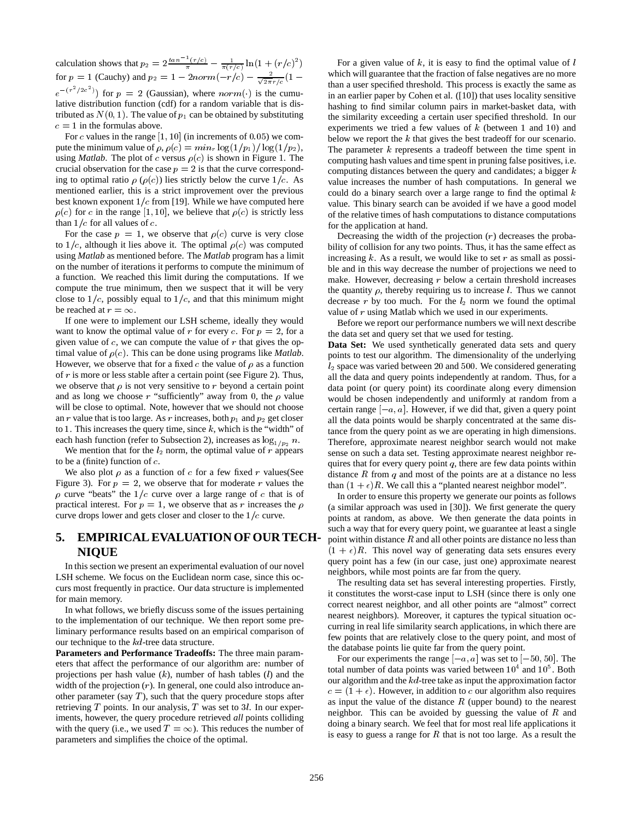calculation shows that  $p_2 = 2^{\frac{\tan(\pi/c)}{\pi}} - \frac{1}{\pi(r/c)} \ln(1 + (r/c)^2)$  For a<br>for  $p = 1$  (Cauchy) and  $p_2 = 1 - 2n\sigma r m(-r/c) - \frac{2}{\sqrt{2\pi r/c}}(1 - \frac{1}{\sqrt{2\pi r/c}})$  $e^{-(r^2/2c^2)}$  for  $p = 2$  (Gaussian), where norm() is the cumulative distribution function (cdf) for a random variable that is distributed as  $N(0, 1)$ . The value of  $p_1$  can be obtained by substituting  $c = 1$  in the formulas above.

For c values in the range  $[1, 10]$  (in increments of 0.05) we compute the minimum value of  $\rho$ ,  $\rho(c)= min_r \log(1/p_1)/ \log(1/p_2)$ , using *Matlab*. The plot of c versus  $\rho(c)$  is shown in Figure 1. The crucial observation for the case  $p = 2$  is that the curve corresponding to optimal ratio  $\rho(\rho(c))$  lies strictly below the curve  $1/c$ . As mentioned earlier, this is a strict improvement over the previous best known exponent  $1/c$  from [19]. While we have computed here  $\rho(c)$  for c in the range [1, 10], we believe that  $\rho(c)$  is strictly less than  $1/c$  for all values of c.

For the case  $p = 1$ , we observe that  $\rho(c)$  curve is very close to  $1/c$ , although it lies above it. The optimal  $\rho(c)$  was computed using *Matlab* as mentioned before. The *Matlab* program has a limit on the number of iterations it performs to compute the minimum of a function. We reached this limit during the computations. If we compute the true minimum, then we suspect that it will be very close to  $1/c$ , possibly equal to  $1/c$ , and that this minimum might be reached at  $r = \infty$ .

If one were to implement our LSH scheme, ideally they would want to know the optimal value of r for every c. For  $p = 2$ , for a given value of  $c$ , we can compute the value of  $r$  that gives the optimal value of  $\rho(c)$ . This can be done using programs like *Matlab*. However, we observe that for a fixed c the value of  $\rho$  as a function of  $r$  is more or less stable after a certain point (see Figure 2). Thus, we observe that  $\rho$  is not very sensitive to r beyond a certain point and as long we choose r "sufficiently" away from 0, the  $\rho$  value will be close to optimal. Note, however that we should not choose an r value that is too large. As r increases, both  $p_1$  and  $p_2$  get closer to 1. This increases the query time, since  $k$ , which is the "width" of each hash function (refer to Subsection 2), increases as  $\log_{1/p_2} n$ .

We mention that for the  $l_2$  norm, the optimal value of r appears to be a (finite) function of  $c$ .

We also plot  $\rho$  as a function of c for a few fixed r values(See Figure 3). For  $p = 2$ , we observe that for moderate r values the  $\rho$  curve "beats" the  $1/c$  curve over a large range of c that is of practical interest. For  $p = 1$ , we observe that as r increases the  $\rho$ curve drops lower and gets closer and closer to the  $1/c$  curve.

# **5. EMPIRICAL EVALUATION OF OUR TECH-NIQUE**

In this section we present an experimental evaluation of our novel LSH scheme. We focus on the Euclidean norm case, since this occurs most frequently in practice. Our data structure is implemented for main memory.

In what follows, we briefly discuss some of the issues pertaining to the implementation of our technique. We then report some preliminary performance results based on an empirical comparison of our technique to the kd-tree data structure.

**Parameters and Performance Tradeoffs:** The three main parameters that affect the performance of our algorithm are: number of projections per hash value  $(k)$ , number of hash tables  $(l)$  and the width of the projection  $(r)$ . In general, one could also introduce another parameter (say  $T$ ), such that the query procedure stops after retrieving  $T$  points. In our analysis,  $T$  was set to  $3l$ . In our experiments, however, the query procedure retrieved *all* points colliding with the query (i.e., we used  $T = \infty$ ). This reduces the number of parameters and simplifies the choice of the optimal.

For a given value of  $k$ , it is easy to find the optimal value of  $l$ which will guarantee that the fraction of false negatives are no more than a user specified threshold. This process is exactly the same as in an earlier paper by Cohen et al. ([10]) that uses locality sensitive hashing to find similar column pairs in market-basket data, with the similarity exceeding a certain user specified threshold. In our experiments we tried a few values of  $k$  (between 1 and 10) and below we report the k that gives the best tradeoff for our scenario. The parameter  $k$  represents a tradeoff between the time spent in computing hash values and time spent in pruning false positives, i.e. computing distances between the query and candidates; a bigger  $k$ value increases the number of hash computations. In general we could do a binary search over a large range to find the optimal  $k$ value. This binary search can be avoided if we have a good model of the relative times of hash computations to distance computations for the application at hand.

Decreasing the width of the projection  $(r)$  decreases the probability of collision for any two points. Thus, it has the same effect as increasing  $k$ . As a result, we would like to set  $r$  as small as possible and in this way decrease the number of projections we need to make. However, decreasing  $r$  below a certain threshold increases the quantity  $\rho$ , thereby requiring us to increase l. Thus we cannot decrease r by too much. For the  $l_2$  norm we found the optimal value of r using Matlab which we used in our experiments.

Before we report our performance numbers we will next describe the data set and query set that we used for testing.

**Data Set:** We used synthetically generated data sets and query points to test our algorithm. The dimensionality of the underlying  $l_2$  space was varied between 20 and 500. We considered generating all the data and query points independently at random. Thus, for a data point (or query point) its coordinate along every dimension would be chosen independently and uniformly at random from a certain range  $[-a, a]$ . However, if we did that, given a query point all the data points would be sharply concentrated at the same distance from the query point as we are operating in high dimensions. Therefore, approximate nearest neighbor search would not make sense on such a data set. Testing approximate nearest neighbor requires that for every query point  $q$ , there are few data points within distance  $R$  from  $q$  and most of the points are at a distance no less than  $(1 + \epsilon)R$ . We call this a "planted nearest neighbor model".

In order to ensure this property we generate our points as follows (a similar approach was used in [30]). We first generate the query points at random, as above. We then generate the data points in such a way that for every query point, we guarantee at least a single point within distance  $R$  and all other points are distance no less than  $(1 + \epsilon)R$ . This novel way of generating data sets ensures every query point has a few (in our case, just one) approximate nearest neighbors, while most points are far from the query.

The resulting data set has several interesting properties. Firstly, it constitutes the worst-case input to LSH (since there is only one correct nearest neighbor, and all other points are "almost" correct nearest neighbors). Moreover, it captures the typical situation occurring in real life similarity search applications, in which there are few points that are relatively close to the query point, and most of the database points lie quite far from the query point.

For our experiments the range  $[-a, a]$  was set to  $[-50, 50]$ . The total number of data points was varied between  $10^4$  and  $10^5$ . Both our algorithm and the kd-tree take as input the approximation factor  $c = (1 + \epsilon)$ . However, in addition to c our algorithm also requires as input the value of the distance  $R$  (upper bound) to the nearest neighbor. This can be avoided by guessing the value of  $R$  and doing a binary search. We feel that for most real life applications it is easy to guess a range for  $R$  that is not too large. As a result the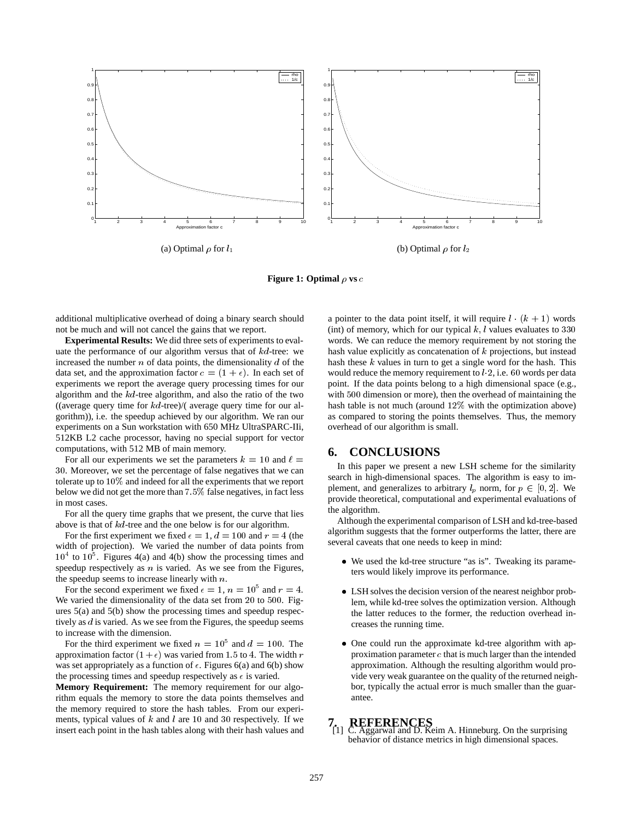

**Figure 1:** Optimal  $\rho$  vs  $c$ 

additional multiplicative overhead of doing a binary search should not be much and will not cancel the gains that we report.

**Experimental Results:** We did three sets of experiments to evaluate the performance of our algorithm versus that of kd-tree: we increased the number  $n$  of data points, the dimensionality  $d$  of the data set, and the approximation factor  $c = (1 + \epsilon)$ . In each set of experiments we report the average query processing times for our algorithm and the  $kd$ -tree algorithm, and also the ratio of the two ((average query time for  $kd$ -tree)/( average query time for our algorithm)), i.e. the speedup achieved by our algorithm. We ran our experiments on a Sun workstation with 650 MHz UltraSPARC-IIi, 512KB L2 cache processor, having no special support for vector computations, with 512 MB of main memory.

mputations, with 512 MB of main memory.<br>For all our experiments we set the parameters  $k = 10$  and  $\ell =$  6. <sup>30</sup>. Moreover, we set the percentage of false negatives that we can tolerate up to 10% and indeed for all the experiments that we report below we did not get the more than 7:5% false negatives, in fact less in most cases.

For all the query time graphs that we present, the curve that lies above is that of kd-tree and the one below is for our algorithm.

For the first experiment we fixed  $\epsilon = 1$ ,  $d = 100$  and  $r = 4$  (the width of projection). We varied the number of data points from  $10<sup>4</sup>$  to  $10<sup>5</sup>$ . Figures 4(a) and 4(b) show the processing times and speedup respectively as  $n$  is varied. As we see from the Figures, the speedup seems to increase linearly with  $n$ .

For the second experiment we fixed  $\epsilon = 1$ ,  $n = 10^5$  and  $r = 4$ . We varied the dimensionality of the data set from <sup>20</sup> to <sup>500</sup>. Figures 5(a) and 5(b) show the processing times and speedup respectively as  $d$  is varied. As we see from the Figures, the speedup seems to increase with the dimension.

For the third experiment we fixed  $n = 10<sup>5</sup>$  and  $d = 100$ . The approximation factor  $(1 + \epsilon)$  was varied from 1.5 to 4. The width r was set appropriately as a function of  $\epsilon$ . Figures 6(a) and 6(b) show the processing times and speedup respectively as  $\epsilon$  is varied.

**Memory Requirement:** The memory requirement for our algorithm equals the memory to store the data points themselves and the memory required to store the hash tables. From our experiments, typical values of  $k$  and  $l$  are 10 and 30 respectively. If we insert each point in the hash tables along with their hash values and a pointer to the data point itself, it will require  $l \cdot (k + 1)$  words (int) of memory, which for our typical  $k, l$  values evaluates to 330 words. We can reduce the memory requirement by not storing the hash value explicitly as concatenation of  $k$  projections, but instead hash these  $k$  values in turn to get a single word for the hash. This would reduce the memory requirement to  $l$  2, i.e. 60 words per data point. If the data points belong to a high dimensional space (e.g., with <sup>500</sup> dimension or more), then the overhead of maintaining the hash table is not much (around 12% with the optimization above) as compared to storing the points themselves. Thus, the memory overhead of our algorithm is small.

### **6. CONCLUSIONS**

In this paper we present a new LSH scheme for the similarity search in high-dimensional spaces. The algorithm is easy to implement, and generalizes to arbitrary  $l_p$  norm, for  $p \in [0, 2]$ . We provide theoretical, computational and experimental evaluations of the algorithm.

Although the experimental comparison of LSH and kd-tree-based algorithm suggests that the former outperforms the latter, there are several caveats that one needs to keep in mind:

- We used the kd-tree structure "as is". Tweaking its parameters would likely improve its performance.
- LSH solves the decision version of the nearest neighbor problem, while kd-tree solves the optimization version. Although the latter reduces to the former, the reduction overhead increases the running time.
- One could run the approximate kd-tree algorithm with approximation parameter  $c$  that is much larger than the intended approximation. Although the resulting algorithm would provide very weak guarantee on the quality of the returned neighbor, typically the actual error is much smaller than the guarantee.

**7. REFERENCES** [1] C. Aggarwal and D. Keim A. Hinneburg. On the surprising behavior of distance metrics in high dimensional spaces.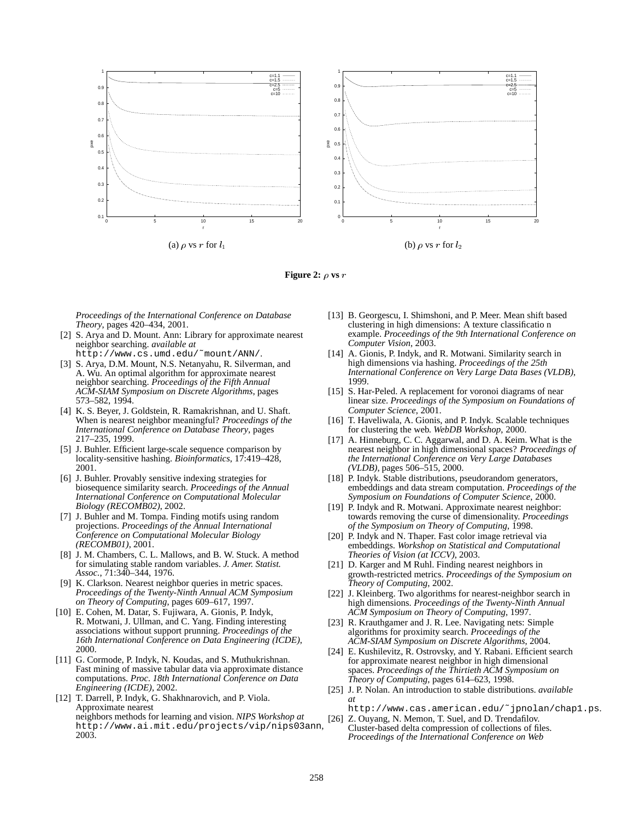

**Figure 2:**  $\rho$  **vs**  $r$ 

*Proceedings of the International Conference on Database Theory*, pages 420–434, 2001.

- [2] S. Arya and D. Mount. Ann: Library for approximate nearest neighbor searching. *available at*
- http://www.cs.umd.edu/˜mount/ANN/.
- [3] S. Arya, D.M. Mount, N.S. Netanyahu, R. Silverman, and A. Wu. An optimal algorithm for approximate nearest neighbor searching. *Proceedings of the Fifth Annual ACM-SIAM Symposium on Discrete Algorithms*, pages 573–582, 1994.
- [4] K. S. Beyer, J. Goldstein, R. Ramakrishnan, and U. Shaft. When is nearest neighbor meaningful? *Proceedings of the International Conference on Database Theory*, pages 217–235, 1999.
- [5] J. Buhler. Efficient large-scale sequence comparison by locality-sensitive hashing. *Bioinformatics*, 17:419–428, 2001.
- [6] J. Buhler. Provably sensitive indexing strategies for biosequence similarity search. *Proceedings of the Annual International Conference on Computational Molecular Biology (RECOMB02)*, 2002.
- [7] J. Buhler and M. Tompa. Finding motifs using random projections. *Proceedings of the Annual International Conference on Computational Molecular Biology (RECOMB01)*, 2001.
- [8] J. M. Chambers, C. L. Mallows, and B. W. Stuck. A method for simulating stable random variables. *J. Amer. Statist. Assoc.*, 71:340–344, 1976.
- [9] K. Clarkson. Nearest neighbor queries in metric spaces. *Proceedings of the Twenty-Ninth Annual ACM Symposium on Theory of Computing*, pages 609–617, 1997.
- [10] E. Cohen, M. Datar, S. Fujiwara, A. Gionis, P. Indyk, R. Motwani, J. Ullman, and C. Yang. Finding interesting associations without support prunning. *Proceedings of the 16th International Conference on Data Engineering (ICDE)*, 2000.
- [11] G. Cormode, P. Indyk, N. Koudas, and S. Muthukrishnan. Fast mining of massive tabular data via approximate distance computations. *Proc. 18th International Conference on Data Engineering (ICDE)*, 2002.
- [12] T. Darrell, P. Indyk, G. Shakhnarovich, and P. Viola. Approximate nearest neighbors methods for learning and vision. *NIPS Workshop at* http://www.ai.mit.edu/projects/vip/nips03ann, 2003.
- [13] B. Georgescu, I. Shimshoni, and P. Meer. Mean shift based clustering in high dimensions: A texture classificatio n example. *Proceedings of the 9th International Conference on Computer Vision*, 2003.
- [14] A. Gionis, P. Indyk, and R. Motwani. Similarity search in high dimensions via hashing. *Proceedings of the 25th International Conference on Very Large Data Bases (VLDB)*, 1999.
- [15] S. Har-Peled. A replacement for voronoi diagrams of near linear size. *Proceedings of the Symposium on Foundations of Computer Science*, 2001.
- [16] T. Haveliwala, A. Gionis, and P. Indyk. Scalable techniques for clustering the web. *WebDB Workshop*, 2000.
- [17] A. Hinneburg, C. C. Aggarwal, and D. A. Keim. What is the nearest neighbor in high dimensional spaces? *Proceedings of the International Conference on Very Large Databases (VLDB)*, pages 506–515, 2000.
- [18] P. Indyk. Stable distributions, pseudorandom generators, embeddings and data stream computation. *Proceedings of the Symposium on Foundations of Computer Science*, 2000.
- [19] P. Indyk and R. Motwani. Approximate nearest neighbor: towards removing the curse of dimensionality. *Proceedings of the Symposium on Theory of Computing*, 1998.
- [20] P. Indyk and N. Thaper. Fast color image retrieval via embeddings. *Workshop on Statistical and Computational Theories of Vision (at ICCV)*, 2003.
- [21] D. Karger and M Ruhl. Finding nearest neighbors in growth-restricted metrics. *Proceedings of the Symposium on Theory of Computing*, 2002.
- [22] J. Kleinberg. Two algorithms for nearest-neighbor search in high dimensions. *Proceedings of the Twenty-Ninth Annual ACM Symposium on Theory of Computing*, 1997.
- [23] R. Krauthgamer and J. R. Lee. Navigating nets: Simple algorithms for proximity search. *Proceedings of the ACM-SIAM Symposium on Discrete Algorithms*, 2004.
- [24] E. Kushilevitz, R. Ostrovsky, and Y. Rabani. Efficient search for approximate nearest neighbor in high dimensional spaces. *Proceedings of the Thirtieth ACM Symposium on Theory of Computing*, pages 614–623, 1998.
- [25] J. P. Nolan. An introduction to stable distributions. *available at*

*Proceedings of the International Conference on Web*

http://www.cas.american.edu/˜jpnolan/chap1.ps. [26] Z. Ouyang, N. Memon, T. Suel, and D. Trendafilov. Cluster-based delta compression of collections of files.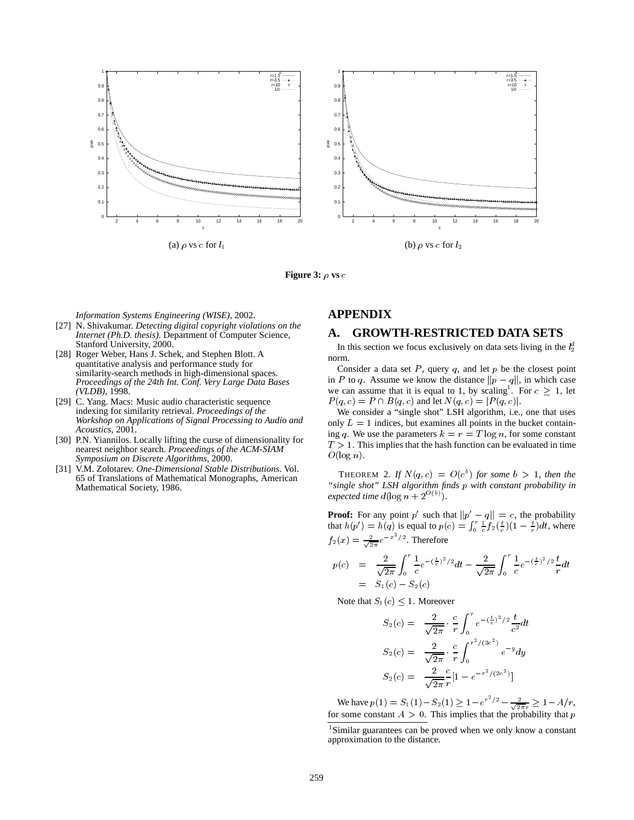

**Figure 3:**  $\rho$  **vs**  $c$ 

*Information Systems Engineering (WISE)*, 2002.

- [27] N. Shivakumar. *Detecting digital copyright violations on the Internet (Ph.D. thesis)*. Department of Computer Science, Stanford University, 2000.
- [28] Roger Weber, Hans J. Schek, and Stephen Blott. A quantitative analysis and performance study for similarity-search methods in high-dimensional spaces. *Proceedings of the 24th Int. Conf. Very Large Data Bases (VLDB)*, 1998.
- [29] C. Yang. Macs: Music audio characteristic sequence indexing for similarity retrieval. *Proceedings of the Workshop on Applications of Signal Processing to Audio and Acoustics*, 2001.
- [30] P.N. Yiannilos. Locally lifting the curse of dimensionality for nearest neighbor search. *Proceedings of the ACM-SIAM Symposium on Discrete Algorithms*, 2000.
- [31] V.M. Zolotarev. *One-Dimensional Stable Distributions*. Vol. 65 of Translations of Mathematical Monographs, American Mathematical Society, 1986.

# **APPENDIX**

# **A. GROWTH-RESTRICTED DATA SETS**

In this section we focus exclusively on data sets living in the  $l_2^d$ norm.

Consider a data set  $P$ , query  $q$ , and let  $p$  be the closest point in P to q. Assume we know the distance  $||p - q||$ , in which case we can assume that it is equal to 1, by scaling<sup>1</sup>. For  $c \geq 1$ , let  $P(q, c) = P \cap B(q, c)$  and let  $N(q, c) = |P(q, c)|$ .

We consider a "single shot" LSH algorithm, i.e., one that uses only  $L = 1$  indices, but examines all points in the bucket containing q. We use the parameters  $k = r = T \log n$ , for some constant  $T > 1$ . This implies that the hash function can be evaluated in time  $O(\log n)$ .

**THEOREM** 2. If  $N(q, c) = O(c^b)$  for some  $b > 1$ , then the *"single shot" LSH algorithm finds* p *with constant probability in expected time*  $d(\log n + 2^{O(b)})$ .

**Proof:** For any point p' such that  $||p' - q|| = c$ , the probability that  $h(p') = h(q)$  is equal to  $p(c) = \int_0^r \frac{1}{c} f_2(\frac{t}{c})(1 - \frac{t}{r}) dt$ , where  $f_2(x) = \frac{2}{\sqrt{2\pi}}e^{-x^2/2}$ . Therefore

$$
p(c) = \frac{2}{\sqrt{2\pi}} \int_0^r \frac{1}{c} e^{-(\frac{t}{c})^2/2} dt - \frac{2}{\sqrt{2\pi}} \int_0^r \frac{1}{c} e^{-(\frac{t}{c})^2/2} \frac{t}{r} dt
$$
  
=  $S_1(c) - S_2(c)$ 

Note that  $S_1(c) \leq 1$ . Moreover

$$
S_2(c) = \frac{2}{\sqrt{2\pi}} \cdot \frac{c}{r} \int_0^r e^{-(\frac{t}{c})^2/2} \frac{t}{c^2} dt
$$
  
\n
$$
S_2(c) = \frac{2}{\sqrt{2\pi}} \cdot \frac{c}{r} \int_0^{r^2/(2c^2)} e^{-y} dy
$$
  
\n
$$
S_2(c) = \frac{2}{\sqrt{2\pi}} \frac{c}{r} [1 - e^{-r^2/(2c^2)}]
$$

We have  $p(1) = S_1(1) - S_2(1) \geq 1 - e^{r^2/2} - \frac{2}{\sqrt{2\pi r}} \geq 1 - A/r$ , for some constant  $A > 0$ . This implies that the probability that p

<sup>&</sup>lt;sup>1</sup>Similar guarantees can be proved when we only know a constant approximation to the distance.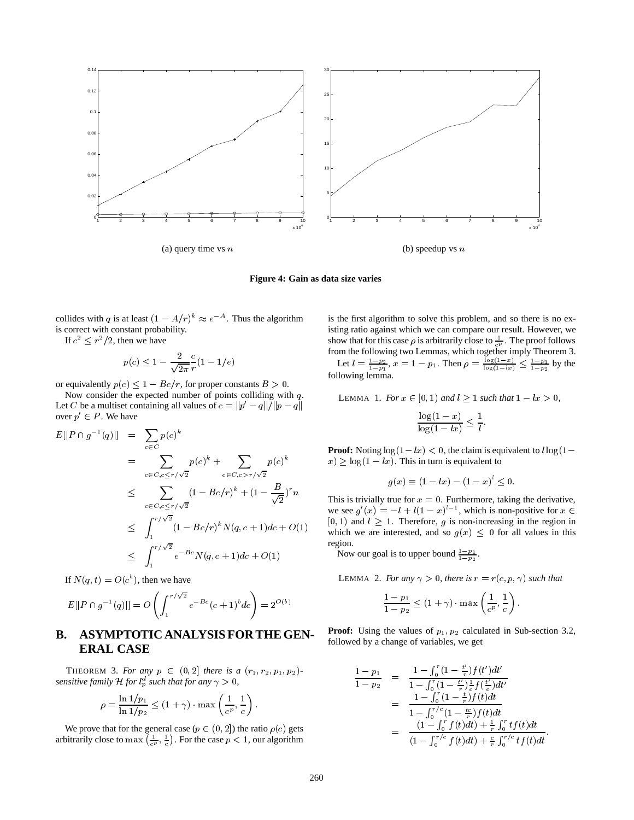



collides with q is at least  $(1 - A/r)^k \approx e^{-A}$ . Thus the algorithm is correct with constant probability.

If  $c^2 \leq r^2/2$ , then we have

$$
p(c)\leq 1-\frac{2}{\sqrt{2\pi}}\frac{c}{r}(1-1/e)
$$

or equivalently  $p(c) \leq 1 - Bc/r$ , for proper constants  $B > 0$ .

Now consider the expected number of points colliding with <sup>q</sup>. Let C be a multiset containing all values of  $c = ||p' - q||/||p - q||$ over  $p' \in P$ . We have

$$
E[|P \cap g^{-1}(q)|] = \sum_{c \in C} p(c)^k
$$
  
\n
$$
= \sum_{c \in C, c \leq r/\sqrt{2}} p(c)^k + \sum_{c \in C, c > r/\sqrt{2}} p(c)^k
$$
  
\n
$$
\leq \sum_{c \in C, c \leq r/\sqrt{2}} (1 - Bc/r)^k + (1 - \frac{B}{\sqrt{2}})^r n
$$
  
\n
$$
\leq \int_1^{r/\sqrt{2}} (1 - Bc/r)^k N(q, c + 1) dc + O(1)
$$
  
\n
$$
\leq \int_1^{r/\sqrt{2}} e^{-Bc} N(q, c + 1) dc + O(1)
$$
  
\n
$$
\leq \int_1^{r/\sqrt{2}} e^{-Bc} N(q, c + 1) dc + O(1)
$$
  
\nNow

If  $N(q, t) = O(c^b)$ , then we have

$$
E[|P \cap g^{-1}(q)|] = O\left(\int_1^{r/\sqrt{2}} e^{-Bc} (c+1)^b dc\right) = 2^{O(b)}
$$

# **B. ASYMPTOTIC ANALYSIS FOR THE GEN-ERAL CASE**

THEOREM 3. For any  $p \in (0, 2]$  there is a  $(r_1, r_2, p_1, p_2)$ *sensitive family*  $\mathcal{H}$  *for*  $l_p^d$  *such that for any*  $\gamma > 0$ *,* 

$$
\rho = \frac{\ln 1/p_1}{\ln 1/p_2} \le (1+\gamma) \cdot \max\left(\frac{1}{c^p}, \frac{1}{c}\right).
$$

We prove that for the general case ( $p \in (0, 2]$ ) the ratio  $\rho(c)$  gets arbitrarily close to max  $\left(\frac{1}{c^p}, \frac{1}{c}\right)$ . For the case  $p < 1$ , our algorithm

is the first algorithm to solve this problem, and so there is no existing ratio against which we can compare our result. However, we show that for this case  $\rho$  is arbitrarily close to  $\frac{1}{c^p}$ . The proof follows from the following two Lemmas, which together imply Theorem 3.

Let  $l = \frac{1-p_2}{1-p_1}$ ,  $x = 1 - p_1$ . Then  $\rho = \frac{\log(1-x)}{\log(1-1/x)} \le \frac{1-p_1}{1-p_2}$  by the following lemma.

LEMMA 1. *For*  $x \in [0, 1)$  *and*  $l \ge 1$  *such that*  $1 - lx > 0$ *,* 

$$
\frac{\log(1-x)}{\log(1-lx)} \le \frac{1}{l}.
$$

**Proof:** Noting  $\log(1-lx) < 0$ , the claim is equivalent to  $l \log(1$  $x) \geq \log(1 - lx)$ . This in turn is equivalent to

$$
g(x) \equiv (1 - lx) - (1 - x)^{t} \le 0.
$$

<sup>n</sup> This is trivially true for  $x = 0$ . Furthermore, taking the derivative, we see  $g'(x) = -l + l(1-x)^{l-1}$ , which is non-positive for  $x \in$  $[0, 1)$  and  $l \geq 1$ . Therefore, g is non-increasing in the region in which we are interested, and so  $g(x) \leq 0$  for all values in this region.

> Now our goal is to upper bound  $\frac{1-p_1}{1-p_2}$ .  $1$ p2

LEMMA 2. *For any*  $\gamma > 0$ *, there is*  $r = r(c, p, \gamma)$  *such that* 

$$
\frac{1-p_1}{1-p_2} \le (1+\gamma) \cdot \max\left(\frac{1}{c^p}, \frac{1}{c}\right).
$$

**Proof:** Using the values of  $p_1, p_2$  calculated in Sub-section 3.2, followed by a change of variables, we get

$$
\frac{-p_1}{-p_2} = \frac{1 - \int_0^r (1 - \frac{t'}{r}) f(t') dt'}{1 - \int_0^r (1 - \frac{t'}{r}) \frac{1}{c} f(\frac{t'}{c}) dt'} \n= \frac{1 - \int_0^r (1 - \frac{t}{r}) f(t) dt}{1 - \int_0^{r/c} (1 - \frac{tc}{r}) f(t) dt} \n= \frac{(1 - \int_0^r f(t) dt) + \frac{1}{r} \int_0^r t f(t) dt}{(1 - \int_0^{r/c} f(t) dt) + \frac{c}{r} \int_0^{r/c} t f(t) dt}.
$$

 $\overline{\phantom{0}}$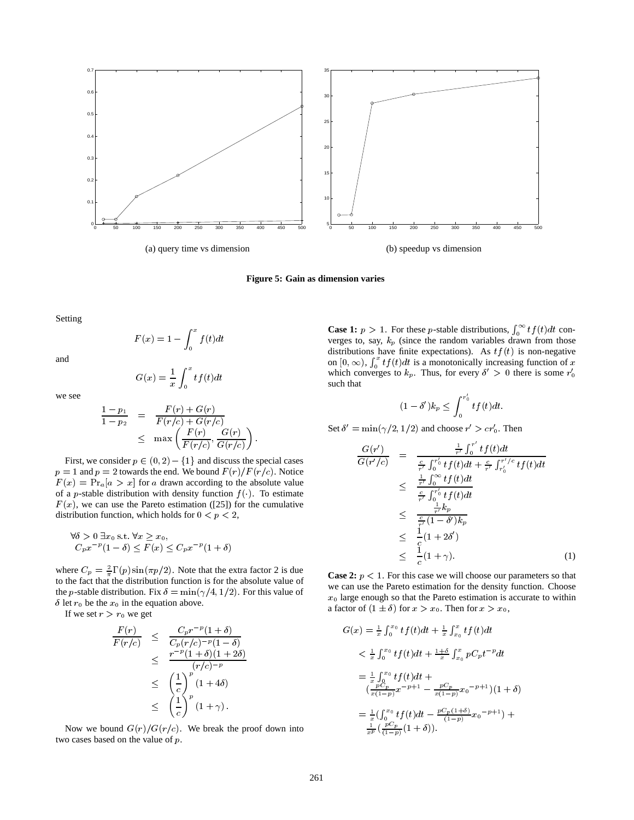



Setting

$$
F(x) = 1 - \int_0^x f(t) dt
$$

and

$$
G(x) = \frac{1}{x} \int_0^x t f(t) dt
$$

we see

$$
\frac{1-p_1}{1-p_2} = \frac{F(r) + G(r)}{F(r/c) + G(r/c)}
$$
\n
$$
\leq \max \left( \frac{F(r)}{F(r/c)}, \frac{G(r)}{G(r/c)} \right).
$$

First, we consider  $p \in (0, 2) - \{1\}$  and discuss the special cases  $p = 1$  and  $p = 2$  towards the end. We bound  $F(r)/F(r/c)$ . Notice  $F(x) = \Pr_a[a > x]$  for a drawn according to the absolute value of a *p*-stable distribution with density function  $f(\cdot)$ . To estimate  $F(x)$ , we can use the Pareto estimation ([25]) for the cumulative distribution function, which holds for  $0 < p < 2$ ,

$$
\forall \delta > 0 \; \exists x_0 \text{ s.t. } \forall x \ge x_0, C_p x^{-p} (1 - \delta) \le F(x) \le C_p x^{-p} (1 + \delta)
$$

where  $C_p = \frac{2}{\pi} \Gamma(p) \sin(\pi p/2)$ . Note that the extra factor 2 is due to the fact that the distribution function is for the absolute value of the *p*-stable distribution. Fix  $\delta = \min(\gamma/4, 1/2)$ . For this value of  $\delta$  let  $r_0$  be the  $x_0$  in the equation above.

If we set  $r>r_0$  we get

$$
\frac{F(r)}{F(r/c)} \leq \frac{C_p r^{-p} (1+\delta)}{C_p (r/c)^{-p} (1-\delta)}
$$
\n
$$
\leq \frac{r^{-p} (1+\delta) (1+2\delta)}{(r/c)^{-p}}
$$
\n
$$
\leq \left(\frac{1}{c}\right)^p (1+4\delta)
$$
\n
$$
\leq \left(\frac{1}{c}\right)^p (1+\gamma).
$$

Now we bound  $G(r)/G(r/c)$ . We break the proof down into two cases based on the value of  $p$ .

**Case 1:**  $p > 1$ . For these p-stable distributions,  $\int_0^\infty t f(t) dt$  converges to, say,  $k_p$  (since the random variables drawn from those distributions have finite expectations). As  $tf(t)$  is non-negative on  $[0, \infty)$ ,  $\int_0^x tf(t)dt$  is a monotonically increasing function of x which converges to  $k_p$ . Thus, for every  $\delta' > 0$  there is some  $r'_0$ such that

$$
(1-\delta')k_p\leq \int_0^{r'_0}tf(t)dt.
$$

Set  $\delta' = \min(\gamma/2, 1/2)$  and choose  $r' > cr'_0$ . Then

$$
\frac{G(r')}{G(r'/c)} = \frac{\frac{1}{r'} \int_0^r t f(t) dt}{\frac{c}{r'} \int_0^{r'_0} t f(t) dt + \frac{c}{r'} \int_{r'_0}^{r'/c} t f(t) dt}
$$
\n
$$
\leq \frac{\frac{1}{r'} \int_0^{\infty} t f(t) dt}{\frac{c}{r'} \int_0^{r'_0} t f(t) dt}
$$
\n
$$
\leq \frac{\frac{1}{r'} k_p}{\frac{c}{r'} (1 - \delta') k_p}
$$
\n
$$
\leq \frac{1}{c} (1 + 2\delta')
$$
\n
$$
\leq \frac{1}{c} (1 + \gamma).
$$
\n(1)

**Case 2:**  $p < 1$ . For this case we will choose our parameters so that we can use the Pareto estimation for the density function. Choose  $x_0$  large enough so that the Pareto estimation is accurate to within a factor of  $(1 \pm \delta)$  for  $x > x_0$ . Then for  $x > x_0$ ,

$$
G(x) = \frac{1}{x} \int_0^{x_0} t f(t) dt + \frac{1}{x} \int_{x_0}^x t f(t) dt
$$
  

$$
< \frac{1}{x} \int_0^{x_0} t f(t) dt + \frac{1+\delta}{x} \int_{x_0}^x p C_p t^{-p} dt
$$
  

$$
= \frac{1}{x} \int_0^{x_0} t f(t) dt + \frac{p C_p}{(x(1-p)} x^{-p+1} - \frac{p C_p}{x(1-p)} x_0^{-p+1}) (1+\delta)
$$
  

$$
= \frac{1}{x} (\int_0^{x_0} t f(t) dt - \frac{p C_p (1+\delta)}{(1-p)} x_0^{-p+1}) + \frac{1}{x^p} (\frac{p C_p}{(1-p)} (1+\delta)).
$$